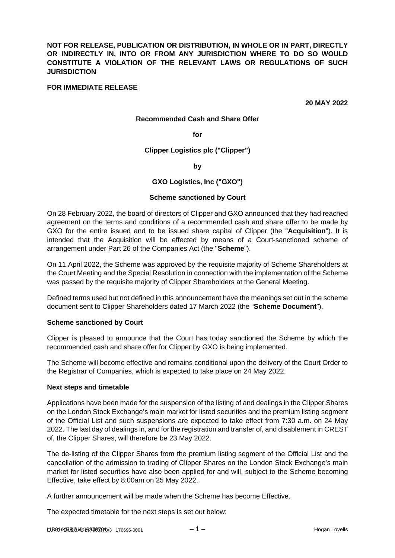**NOT FOR RELEASE, PUBLICATION OR DISTRIBUTION, IN WHOLE OR IN PART, DIRECTLY OR INDIRECTLY IN, INTO OR FROM ANY JURISDICTION WHERE TO DO SO WOULD CONSTITUTE A VIOLATION OF THE RELEVANT LAWS OR REGULATIONS OF SUCH JURISDICTION** 

### **FOR IMMEDIATE RELEASE**

**20 MAY 2022** 

#### **Recommended Cash and Share Offer**

#### **for**

#### **Clipper Logistics plc ("Clipper")**

#### **by**

### **GXO Logistics, Inc ("GXO")**

#### **Scheme sanctioned by Court**

On 28 February 2022, the board of directors of Clipper and GXO announced that they had reached agreement on the terms and conditions of a recommended cash and share offer to be made by GXO for the entire issued and to be issued share capital of Clipper (the "**Acquisition**"). It is intended that the Acquisition will be effected by means of a Court-sanctioned scheme of arrangement under Part 26 of the Companies Act (the "**Scheme**").

On 11 April 2022, the Scheme was approved by the requisite majority of Scheme Shareholders at the Court Meeting and the Special Resolution in connection with the implementation of the Scheme was passed by the requisite majority of Clipper Shareholders at the General Meeting.

Defined terms used but not defined in this announcement have the meanings set out in the scheme document sent to Clipper Shareholders dated 17 March 2022 (the "**Scheme Document**").

#### **Scheme sanctioned by Court**

Clipper is pleased to announce that the Court has today sanctioned the Scheme by which the recommended cash and share offer for Clipper by GXO is being implemented.

The Scheme will become effective and remains conditional upon the delivery of the Court Order to the Registrar of Companies, which is expected to take place on 24 May 2022.

#### **Next steps and timetable**

Applications have been made for the suspension of the listing of and dealings in the Clipper Shares on the London Stock Exchange's main market for listed securities and the premium listing segment of the Official List and such suspensions are expected to take effect from 7:30 a.m. on 24 May 2022. The last day of dealings in, and for the registration and transfer of, and disablement in CREST of, the Clipper Shares, will therefore be 23 May 2022.

The de-listing of the Clipper Shares from the premium listing segment of the Official List and the cancellation of the admission to trading of Clipper Shares on the London Stock Exchange's main market for listed securities have also been applied for and will, subject to the Scheme becoming Effective, take effect by 8:00am on 25 May 2022.

A further announcement will be made when the Scheme has become Effective.

The expected timetable for the next steps is set out below: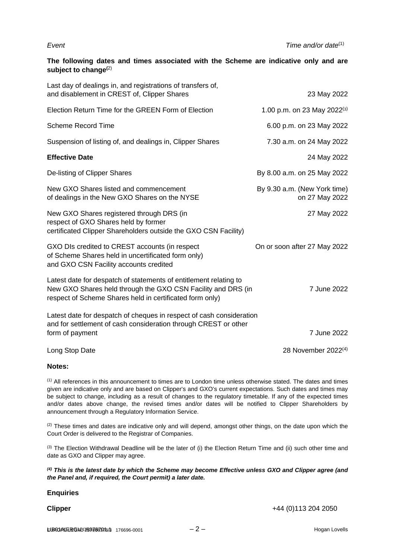*Event Time and/or date*(1)

# **The following dates and times associated with the Scheme are indicative only and are subject to change(**2)

| Last day of dealings in, and registrations of transfers of,<br>and disablement in CREST of, Clipper Shares                                                                                    | 23 May 2022                                    |
|-----------------------------------------------------------------------------------------------------------------------------------------------------------------------------------------------|------------------------------------------------|
| Election Return Time for the GREEN Form of Election                                                                                                                                           | 1.00 p.m. on 23 May 2022 <sup>(3)</sup>        |
| <b>Scheme Record Time</b>                                                                                                                                                                     | 6.00 p.m. on 23 May 2022                       |
| Suspension of listing of, and dealings in, Clipper Shares                                                                                                                                     | 7.30 a.m. on 24 May 2022                       |
| <b>Effective Date</b>                                                                                                                                                                         | 24 May 2022                                    |
| De-listing of Clipper Shares                                                                                                                                                                  | By 8.00 a.m. on 25 May 2022                    |
| New GXO Shares listed and commencement<br>of dealings in the New GXO Shares on the NYSE                                                                                                       | By 9.30 a.m. (New York time)<br>on 27 May 2022 |
| New GXO Shares registered through DRS (in<br>respect of GXO Shares held by former<br>certificated Clipper Shareholders outside the GXO CSN Facility)                                          | 27 May 2022                                    |
| GXO DIs credited to CREST accounts (in respect<br>of Scheme Shares held in uncertificated form only)<br>and GXO CSN Facility accounts credited                                                | On or soon after 27 May 2022                   |
| Latest date for despatch of statements of entitlement relating to<br>New GXO Shares held through the GXO CSN Facility and DRS (in<br>respect of Scheme Shares held in certificated form only) | 7 June 2022                                    |
| Latest date for despatch of cheques in respect of cash consideration<br>and for settlement of cash consideration through CREST or other<br>form of payment                                    | 7 June 2022                                    |
| Long Stop Date                                                                                                                                                                                | 28 November 2022 <sup>(4)</sup>                |

## **Notes:**

 $<sup>(1)</sup>$  All references in this announcement to times are to London time unless otherwise stated. The dates and times</sup> given are indicative only and are based on Clipper's and GXO's current expectations. Such dates and times may be subject to change, including as a result of changes to the regulatory timetable. If any of the expected times and/or dates above change, the revised times and/or dates will be notified to Clipper Shareholders by announcement through a Regulatory Information Service.

 $(2)$  These times and dates are indicative only and will depend, amongst other things, on the date upon which the Court Order is delivered to the Registrar of Companies.

 $(3)$  The Election Withdrawal Deadline will be the later of (i) the Election Return Time and (ii) such other time and date as GXO and Clipper may agree.

*(4) This is the latest date by which the Scheme may become Effective unless GXO and Clipper agree (and the Panel and, if required, the Court permit) a later date.*

#### **Enquiries**

**Clipper** +44 (0) 113 204 2050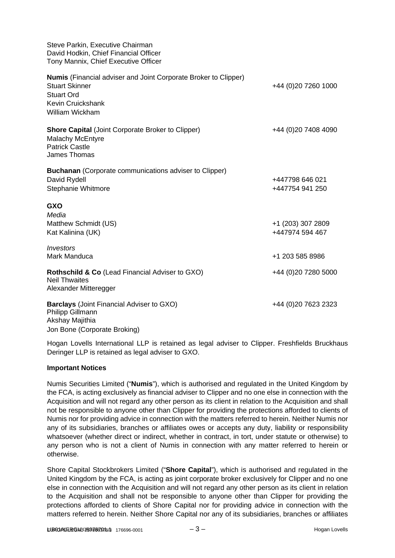| Steve Parkin, Executive Chairman<br>David Hodkin, Chief Financial Officer<br>Tony Mannix, Chief Executive Officer                                            |                                      |
|--------------------------------------------------------------------------------------------------------------------------------------------------------------|--------------------------------------|
| <b>Numis</b> (Financial adviser and Joint Corporate Broker to Clipper)<br><b>Stuart Skinner</b><br><b>Stuart Ord</b><br>Kevin Cruickshank<br>William Wickham | +44 (0)20 7260 1000                  |
| <b>Shore Capital (Joint Corporate Broker to Clipper)</b><br><b>Malachy McEntyre</b><br><b>Patrick Castle</b><br><b>James Thomas</b>                          | +44 (0)20 7408 4090                  |
| <b>Buchanan</b> (Corporate communications adviser to Clipper)<br>David Rydell<br>Stephanie Whitmore                                                          | +447798 646 021<br>+447754 941 250   |
| <b>GXO</b><br>Media<br>Matthew Schmidt (US)<br>Kat Kalinina (UK)                                                                                             | +1 (203) 307 2809<br>+447974 594 467 |
| Investors<br>Mark Manduca                                                                                                                                    | +1 203 585 8986                      |
| Rothschild & Co (Lead Financial Adviser to GXO)<br><b>Neil Thwaites</b><br>Alexander Mitteregger                                                             | +44 (0)20 7280 5000                  |
| <b>Barclays</b> (Joint Financial Adviser to GXO)<br>Philipp Gillmann<br>Akshay Majithia                                                                      | +44 (0)20 7623 2323                  |

Jon Bone (Corporate Broking)

Hogan Lovells International LLP is retained as legal adviser to Clipper. Freshfields Bruckhaus Deringer LLP is retained as legal adviser to GXO.

## **Important Notices**

Numis Securities Limited ("**Numis**"), which is authorised and regulated in the United Kingdom by the FCA, is acting exclusively as financial adviser to Clipper and no one else in connection with the Acquisition and will not regard any other person as its client in relation to the Acquisition and shall not be responsible to anyone other than Clipper for providing the protections afforded to clients of Numis nor for providing advice in connection with the matters referred to herein. Neither Numis nor any of its subsidiaries, branches or affiliates owes or accepts any duty, liability or responsibility whatsoever (whether direct or indirect, whether in contract, in tort, under statute or otherwise) to any person who is not a client of Numis in connection with any matter referred to herein or otherwise.

Shore Capital Stockbrokers Limited ("**Shore Capital**"), which is authorised and regulated in the United Kingdom by the FCA, is acting as joint corporate broker exclusively for Clipper and no one else in connection with the Acquisition and will not regard any other person as its client in relation to the Acquisition and shall not be responsible to anyone other than Clipper for providing the protections afforded to clients of Shore Capital nor for providing advice in connection with the matters referred to herein. Neither Shore Capital nor any of its subsidiaries, branches or affiliates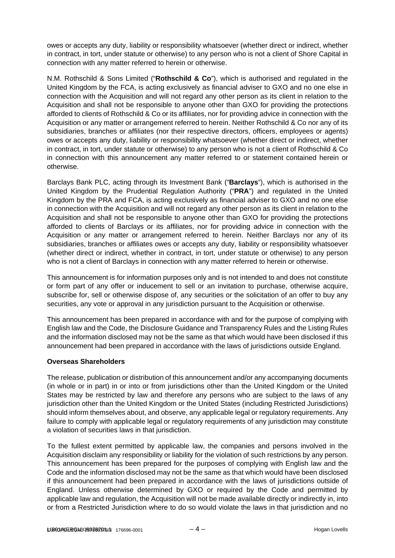owes or accepts any duty, liability or responsibility whatsoever (whether direct or indirect, whether in contract, in tort, under statute or otherwise) to any person who is not a client of Shore Capital in connection with any matter referred to herein or otherwise.

N.M. Rothschild & Sons Limited ("**Rothschild & Co**"), which is authorised and regulated in the United Kingdom by the FCA, is acting exclusively as financial adviser to GXO and no one else in connection with the Acquisition and will not regard any other person as its client in relation to the Acquisition and shall not be responsible to anyone other than GXO for providing the protections afforded to clients of Rothschild & Co or its affiliates, nor for providing advice in connection with the Acquisition or any matter or arrangement referred to herein. Neither Rothschild & Co nor any of its subsidiaries, branches or affiliates (nor their respective directors, officers, employees or agents) owes or accepts any duty, liability or responsibility whatsoever (whether direct or indirect, whether in contract, in tort, under statute or otherwise) to any person who is not a client of Rothschild & Co in connection with this announcement any matter referred to or statement contained herein or otherwise.

Barclays Bank PLC, acting through its Investment Bank ("**Barclays**"), which is authorised in the United Kingdom by the Prudential Regulation Authority ("**PRA**") and regulated in the United Kingdom by the PRA and FCA, is acting exclusively as financial adviser to GXO and no one else in connection with the Acquisition and will not regard any other person as its client in relation to the Acquisition and shall not be responsible to anyone other than GXO for providing the protections afforded to clients of Barclays or its affiliates, nor for providing advice in connection with the Acquisition or any matter or arrangement referred to herein. Neither Barclays nor any of its subsidiaries, branches or affiliates owes or accepts any duty, liability or responsibility whatsoever (whether direct or indirect, whether in contract, in tort, under statute or otherwise) to any person who is not a client of Barclays in connection with any matter referred to herein or otherwise.

This announcement is for information purposes only and is not intended to and does not constitute or form part of any offer or inducement to sell or an invitation to purchase, otherwise acquire, subscribe for, sell or otherwise dispose of, any securities or the solicitation of an offer to buy any securities, any vote or approval in any jurisdiction pursuant to the Acquisition or otherwise.

This announcement has been prepared in accordance with and for the purpose of complying with English law and the Code, the Disclosure Guidance and Transparency Rules and the Listing Rules and the information disclosed may not be the same as that which would have been disclosed if this announcement had been prepared in accordance with the laws of jurisdictions outside England.

# **Overseas Shareholders**

The release, publication or distribution of this announcement and/or any accompanying documents (in whole or in part) in or into or from jurisdictions other than the United Kingdom or the United States may be restricted by law and therefore any persons who are subject to the laws of any jurisdiction other than the United Kingdom or the United States (including Restricted Jurisdictions) should inform themselves about, and observe, any applicable legal or regulatory requirements. Any failure to comply with applicable legal or regulatory requirements of any jurisdiction may constitute a violation of securities laws in that jurisdiction.

To the fullest extent permitted by applicable law, the companies and persons involved in the Acquisition disclaim any responsibility or liability for the violation of such restrictions by any person. This announcement has been prepared for the purposes of complying with English law and the Code and the information disclosed may not be the same as that which would have been disclosed if this announcement had been prepared in accordance with the laws of jurisdictions outside of England. Unless otherwise determined by GXO or required by the Code and permitted by applicable law and regulation, the Acquisition will not be made available directly or indirectly in, into or from a Restricted Jurisdiction where to do so would violate the laws in that jurisdiction and no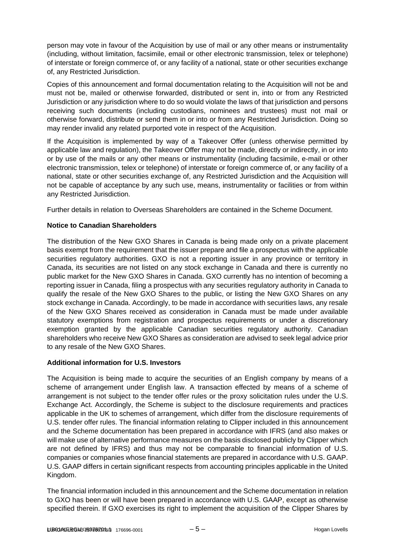person may vote in favour of the Acquisition by use of mail or any other means or instrumentality (including, without limitation, facsimile, email or other electronic transmission, telex or telephone) of interstate or foreign commerce of, or any facility of a national, state or other securities exchange of, any Restricted Jurisdiction.

Copies of this announcement and formal documentation relating to the Acquisition will not be and must not be, mailed or otherwise forwarded, distributed or sent in, into or from any Restricted Jurisdiction or any jurisdiction where to do so would violate the laws of that jurisdiction and persons receiving such documents (including custodians, nominees and trustees) must not mail or otherwise forward, distribute or send them in or into or from any Restricted Jurisdiction. Doing so may render invalid any related purported vote in respect of the Acquisition.

If the Acquisition is implemented by way of a Takeover Offer (unless otherwise permitted by applicable law and regulation), the Takeover Offer may not be made, directly or indirectly, in or into or by use of the mails or any other means or instrumentality (including facsimile, e-mail or other electronic transmission, telex or telephone) of interstate or foreign commerce of, or any facility of a national, state or other securities exchange of, any Restricted Jurisdiction and the Acquisition will not be capable of acceptance by any such use, means, instrumentality or facilities or from within any Restricted Jurisdiction.

Further details in relation to Overseas Shareholders are contained in the Scheme Document.

# **Notice to Canadian Shareholders**

The distribution of the New GXO Shares in Canada is being made only on a private placement basis exempt from the requirement that the issuer prepare and file a prospectus with the applicable securities regulatory authorities. GXO is not a reporting issuer in any province or territory in Canada, its securities are not listed on any stock exchange in Canada and there is currently no public market for the New GXO Shares in Canada. GXO currently has no intention of becoming a reporting issuer in Canada, filing a prospectus with any securities regulatory authority in Canada to qualify the resale of the New GXO Shares to the public, or listing the New GXO Shares on any stock exchange in Canada. Accordingly, to be made in accordance with securities laws, any resale of the New GXO Shares received as consideration in Canada must be made under available statutory exemptions from registration and prospectus requirements or under a discretionary exemption granted by the applicable Canadian securities regulatory authority. Canadian shareholders who receive New GXO Shares as consideration are advised to seek legal advice prior to any resale of the New GXO Shares.

# **Additional information for U.S. Investors**

The Acquisition is being made to acquire the securities of an English company by means of a scheme of arrangement under English law. A transaction effected by means of a scheme of arrangement is not subject to the tender offer rules or the proxy solicitation rules under the U.S. Exchange Act. Accordingly, the Scheme is subject to the disclosure requirements and practices applicable in the UK to schemes of arrangement, which differ from the disclosure requirements of U.S. tender offer rules. The financial information relating to Clipper included in this announcement and the Scheme documentation has been prepared in accordance with IFRS (and also makes or will make use of alternative performance measures on the basis disclosed publicly by Clipper which are not defined by IFRS) and thus may not be comparable to financial information of U.S. companies or companies whose financial statements are prepared in accordance with U.S. GAAP. U.S. GAAP differs in certain significant respects from accounting principles applicable in the United Kingdom.

The financial information included in this announcement and the Scheme documentation in relation to GXO has been or will have been prepared in accordance with U.S. GAAP, except as otherwise specified therein. If GXO exercises its right to implement the acquisition of the Clipper Shares by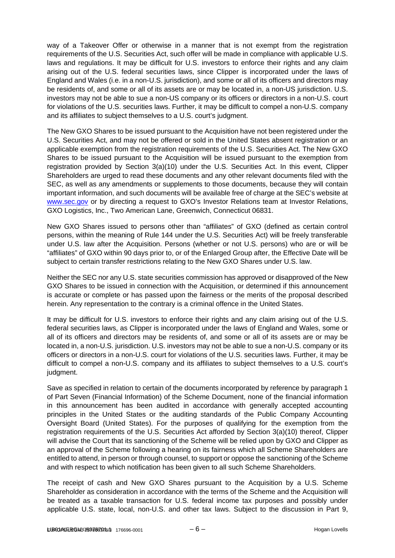way of a Takeover Offer or otherwise in a manner that is not exempt from the registration requirements of the U.S. Securities Act, such offer will be made in compliance with applicable U.S. laws and regulations. It may be difficult for U.S. investors to enforce their rights and any claim arising out of the U.S. federal securities laws, since Clipper is incorporated under the laws of England and Wales (i.e. in a non-U.S. jurisdiction), and some or all of its officers and directors may be residents of, and some or all of its assets are or may be located in, a non-US jurisdiction. U.S. investors may not be able to sue a non-US company or its officers or directors in a non-U.S. court for violations of the U.S. securities laws. Further, it may be difficult to compel a non-U.S. company and its affiliates to subject themselves to a U.S. court's judgment.

The New GXO Shares to be issued pursuant to the Acquisition have not been registered under the U.S. Securities Act, and may not be offered or sold in the United States absent registration or an applicable exemption from the registration requirements of the U.S. Securities Act. The New GXO Shares to be issued pursuant to the Acquisition will be issued pursuant to the exemption from registration provided by Section 3(a)(10) under the U.S. Securities Act. In this event, Clipper Shareholders are urged to read these documents and any other relevant documents filed with the SEC, as well as any amendments or supplements to those documents, because they will contain important information, and such documents will be available free of charge at the SEC's website at [www.sec.gov](http://www.sec.gov/) or by directing a request to GXO's Investor Relations team at Investor Relations, GXO Logistics, Inc., Two American Lane, Greenwich, Connecticut 06831.

New GXO Shares issued to persons other than "affiliates" of GXO (defined as certain control persons, within the meaning of Rule 144 under the U.S. Securities Act) will be freely transferable under U.S. law after the Acquisition. Persons (whether or not U.S. persons) who are or will be "affiliates" of GXO within 90 days prior to, or of the Enlarged Group after, the Effective Date will be subject to certain transfer restrictions relating to the New GXO Shares under U.S. law.

Neither the SEC nor any U.S. state securities commission has approved or disapproved of the New GXO Shares to be issued in connection with the Acquisition, or determined if this announcement is accurate or complete or has passed upon the fairness or the merits of the proposal described herein. Any representation to the contrary is a criminal offence in the United States.

It may be difficult for U.S. investors to enforce their rights and any claim arising out of the U.S. federal securities laws, as Clipper is incorporated under the laws of England and Wales, some or all of its officers and directors may be residents of, and some or all of its assets are or may be located in, a non-U.S. jurisdiction. U.S. investors may not be able to sue a non-U.S. company or its officers or directors in a non-U.S. court for violations of the U.S. securities laws. Further, it may be difficult to compel a non-U.S. company and its affiliates to subject themselves to a U.S. court's judgment.

Save as specified in relation to certain of the documents incorporated by reference by paragraph 1 of Part Seven (Financial Information) of the Scheme Document, none of the financial information in this announcement has been audited in accordance with generally accepted accounting principles in the United States or the auditing standards of the Public Company Accounting Oversight Board (United States). For the purposes of qualifying for the exemption from the registration requirements of the U.S. Securities Act afforded by Section 3(a)(10) thereof, Clipper will advise the Court that its sanctioning of the Scheme will be relied upon by GXO and Clipper as an approval of the Scheme following a hearing on its fairness which all Scheme Shareholders are entitled to attend, in person or through counsel, to support or oppose the sanctioning of the Scheme and with respect to which notification has been given to all such Scheme Shareholders.

The receipt of cash and New GXO Shares pursuant to the Acquisition by a U.S. Scheme Shareholder as consideration in accordance with the terms of the Scheme and the Acquisition will be treated as a taxable transaction for U.S. federal income tax purposes and possibly under applicable U.S. state, local, non-U.S. and other tax laws. Subject to the discussion in Part 9,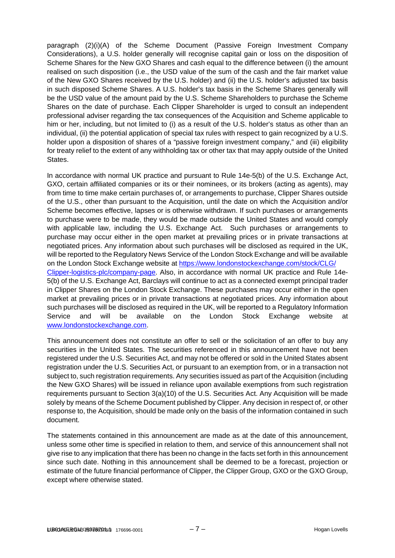paragraph (2)(i)(A) of the Scheme Document (Passive Foreign Investment Company Considerations), a U.S. holder generally will recognise capital gain or loss on the disposition of Scheme Shares for the New GXO Shares and cash equal to the difference between (i) the amount realised on such disposition (i.e., the USD value of the sum of the cash and the fair market value of the New GXO Shares received by the U.S. holder) and (ii) the U.S. holder's adjusted tax basis in such disposed Scheme Shares. A U.S. holder's tax basis in the Scheme Shares generally will be the USD value of the amount paid by the U.S. Scheme Shareholders to purchase the Scheme Shares on the date of purchase. Each Clipper Shareholder is urged to consult an independent professional adviser regarding the tax consequences of the Acquisition and Scheme applicable to him or her, including, but not limited to (i) as a result of the U.S. holder's status as other than an individual, (ii) the potential application of special tax rules with respect to gain recognized by a U.S. holder upon a disposition of shares of a "passive foreign investment company," and (iii) eligibility for treaty relief to the extent of any withholding tax or other tax that may apply outside of the United States.

In accordance with normal UK practice and pursuant to Rule 14e-5(b) of the U.S. Exchange Act, GXO, certain affiliated companies or its or their nominees, or its brokers (acting as agents), may from time to time make certain purchases of, or arrangements to purchase, Clipper Shares outside of the U.S., other than pursuant to the Acquisition, until the date on which the Acquisition and/or Scheme becomes effective, lapses or is otherwise withdrawn. If such purchases or arrangements to purchase were to be made, they would be made outside the United States and would comply with applicable law, including the U.S. Exchange Act. Such purchases or arrangements to purchase may occur either in the open market at prevailing prices or in private transactions at negotiated prices. Any information about such purchases will be disclosed as required in the UK, will be reported to the Regulatory News Service of the London Stock Exchange and will be available on the London Stock Exchange website at [https://www.londonstockexchange.com/stock/CLG/](https://www.londonstockexchange.com/stock/CLG/Clipper-logistics-plc/company-page)  [Clipper-logistics-plc/company-page.](https://www.londonstockexchange.com/stock/CLG/Clipper-logistics-plc/company-page) Also, in accordance with normal UK practice and Rule 14e-5(b) of the U.S. Exchange Act, Barclays will continue to act as a connected exempt principal trader in Clipper Shares on the London Stock Exchange. These purchases may occur either in the open market at prevailing prices or in private transactions at negotiated prices. Any information about such purchases will be disclosed as required in the UK, will be reported to a Regulatory Information Service and will be available on the London Stock Exchange website at [www.londonstockexchange.com.](http://www.londonstockexchange.com/)

This announcement does not constitute an offer to sell or the solicitation of an offer to buy any securities in the United States. The securities referenced in this announcement have not been registered under the U.S. Securities Act, and may not be offered or sold in the United States absent registration under the U.S. Securities Act, or pursuant to an exemption from, or in a transaction not subject to, such registration requirements. Any securities issued as part of the Acquisition (including the New GXO Shares) will be issued in reliance upon available exemptions from such registration requirements pursuant to Section 3(a)(10) of the U.S. Securities Act. Any Acquisition will be made solely by means of the Scheme Document published by Clipper. Any decision in respect of, or other response to, the Acquisition, should be made only on the basis of the information contained in such document.

The statements contained in this announcement are made as at the date of this announcement, unless some other time is specified in relation to them, and service of this announcement shall not give rise to any implication that there has been no change in the facts set forth in this announcement since such date. Nothing in this announcement shall be deemed to be a forecast, projection or estimate of the future financial performance of Clipper, the Clipper Group, GXO or the GXO Group, except where otherwise stated.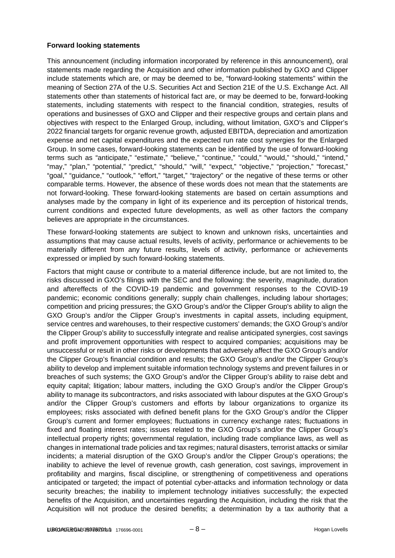## **Forward looking statements**

This announcement (including information incorporated by reference in this announcement), oral statements made regarding the Acquisition and other information published by GXO and Clipper include statements which are, or may be deemed to be, "forward-looking statements" within the meaning of Section 27A of the U.S. Securities Act and Section 21E of the U.S. Exchange Act. All statements other than statements of historical fact are, or may be deemed to be, forward-looking statements, including statements with respect to the financial condition, strategies, results of operations and businesses of GXO and Clipper and their respective groups and certain plans and objectives with respect to the Enlarged Group, including, without limitation, GXO's and Clipper's 2022 financial targets for organic revenue growth, adjusted EBITDA, depreciation and amortization expense and net capital expenditures and the expected run rate cost synergies for the Enlarged Group. In some cases, forward-looking statements can be identified by the use of forward-looking terms such as "anticipate," "estimate," "believe," "continue," "could," "would," "should," "intend," "may," "plan," "potential," "predict," "should," "will," "expect," "objective," "projection," "forecast," "goal," "guidance," "outlook," "effort," "target," "trajectory" or the negative of these terms or other comparable terms. However, the absence of these words does not mean that the statements are not forward-looking. These forward-looking statements are based on certain assumptions and analyses made by the company in light of its experience and its perception of historical trends, current conditions and expected future developments, as well as other factors the company believes are appropriate in the circumstances.

These forward-looking statements are subject to known and unknown risks, uncertainties and assumptions that may cause actual results, levels of activity, performance or achievements to be materially different from any future results, levels of activity, performance or achievements expressed or implied by such forward-looking statements.

Factors that might cause or contribute to a material difference include, but are not limited to, the risks discussed in GXO's filings with the SEC and the following: the severity, magnitude, duration and aftereffects of the COVID-19 pandemic and government responses to the COVID-19 pandemic; economic conditions generally; supply chain challenges, including labour shortages; competition and pricing pressures; the GXO Group's and/or the Clipper Group's ability to align the GXO Group's and/or the Clipper Group's investments in capital assets, including equipment, service centres and warehouses, to their respective customers' demands; the GXO Group's and/or the Clipper Group's ability to successfully integrate and realise anticipated synergies, cost savings and profit improvement opportunities with respect to acquired companies; acquisitions may be unsuccessful or result in other risks or developments that adversely affect the GXO Group's and/or the Clipper Group's financial condition and results; the GXO Group's and/or the Clipper Group's ability to develop and implement suitable information technology systems and prevent failures in or breaches of such systems; the GXO Group's and/or the Clipper Group's ability to raise debt and equity capital; litigation; labour matters, including the GXO Group's and/or the Clipper Group's ability to manage its subcontractors, and risks associated with labour disputes at the GXO Group's and/or the Clipper Group's customers and efforts by labour organizations to organize its employees; risks associated with defined benefit plans for the GXO Group's and/or the Clipper Group's current and former employees; fluctuations in currency exchange rates; fluctuations in fixed and floating interest rates; issues related to the GXO Group's and/or the Clipper Group's intellectual property rights; governmental regulation, including trade compliance laws, as well as changes in international trade policies and tax regimes; natural disasters, terrorist attacks or similar incidents; a material disruption of the GXO Group's and/or the Clipper Group's operations; the inability to achieve the level of revenue growth, cash generation, cost savings, improvement in profitability and margins, fiscal discipline, or strengthening of competitiveness and operations anticipated or targeted; the impact of potential cyber-attacks and information technology or data security breaches; the inability to implement technology initiatives successfully; the expected benefits of the Acquisition, and uncertainties regarding the Acquisition, including the risk that the Acquisition will not produce the desired benefits; a determination by a tax authority that a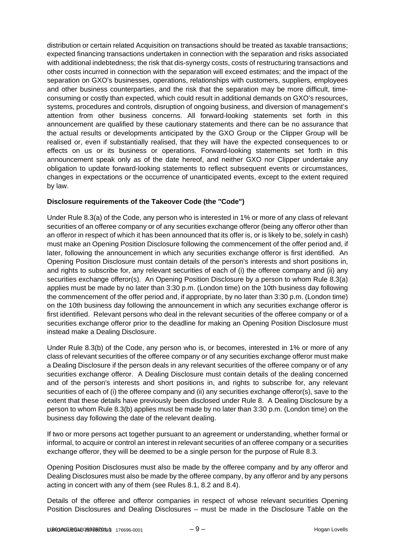distribution or certain related Acquisition on transactions should be treated as taxable transactions; expected financing transactions undertaken in connection with the separation and risks associated with additional indebtedness; the risk that dis-synergy costs, costs of restructuring transactions and other costs incurred in connection with the separation will exceed estimates; and the impact of the separation on GXO's businesses, operations, relationships with customers, suppliers, employees and other business counterparties, and the risk that the separation may be more difficult, timeconsuming or costly than expected, which could result in additional demands on GXO's resources, systems, procedures and controls, disruption of ongoing business, and diversion of management's attention from other business concerns. All forward-looking statements set forth in this announcement are qualified by these cautionary statements and there can be no assurance that the actual results or developments anticipated by the GXO Group or the Clipper Group will be realised or, even if substantially realised, that they will have the expected consequences to or effects on us or its business or operations. Forward-looking statements set forth in this announcement speak only as of the date hereof, and neither GXO nor Clipper undertake any obligation to update forward-looking statements to reflect subsequent events or circumstances, changes in expectations or the occurrence of unanticipated events, except to the extent required by law.

# **Disclosure requirements of the Takeover Code (the "Code")**

Under Rule 8.3(a) of the Code, any person who is interested in 1% or more of any class of relevant securities of an offeree company or of any securities exchange offeror (being any offeror other than an offeror in respect of which it has been announced that its offer is, or is likely to be, solely in cash) must make an Opening Position Disclosure following the commencement of the offer period and, if later, following the announcement in which any securities exchange offeror is first identified. An Opening Position Disclosure must contain details of the person's interests and short positions in, and rights to subscribe for, any relevant securities of each of (i) the offeree company and (ii) any securities exchange offeror(s). An Opening Position Disclosure by a person to whom Rule 8.3(a) applies must be made by no later than 3:30 p.m. (London time) on the 10th business day following the commencement of the offer period and, if appropriate, by no later than 3:30 p.m. (London time) on the 10th business day following the announcement in which any securities exchange offeror is first identified. Relevant persons who deal in the relevant securities of the offeree company or of a securities exchange offeror prior to the deadline for making an Opening Position Disclosure must instead make a Dealing Disclosure.

Under Rule 8.3(b) of the Code, any person who is, or becomes, interested in 1% or more of any class of relevant securities of the offeree company or of any securities exchange offeror must make a Dealing Disclosure if the person deals in any relevant securities of the offeree company or of any securities exchange offeror. A Dealing Disclosure must contain details of the dealing concerned and of the person's interests and short positions in, and rights to subscribe for, any relevant securities of each of (i) the offeree company and (ii) any securities exchange offeror(s), save to the extent that these details have previously been disclosed under Rule 8. A Dealing Disclosure by a person to whom Rule 8.3(b) applies must be made by no later than 3:30 p.m. (London time) on the business day following the date of the relevant dealing.

If two or more persons act together pursuant to an agreement or understanding, whether formal or informal, to acquire or control an interest in relevant securities of an offeree company or a securities exchange offeror, they will be deemed to be a single person for the purpose of Rule 8.3.

Opening Position Disclosures must also be made by the offeree company and by any offeror and Dealing Disclosures must also be made by the offeree company, by any offeror and by any persons acting in concert with any of them (see Rules 8.1, 8.2 and 8.4).

Details of the offeree and offeror companies in respect of whose relevant securities Opening Position Disclosures and Dealing Disclosures – must be made in the Disclosure Table on the